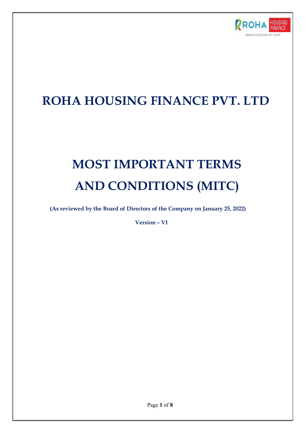

# ROHA HOUSING FINANCE PVT. LTD

# MOST IMPORTANT TERMS AND CONDITIONS (MITC)

(As reviewed by the Board of Directors of the Company on January 25, 2022)

Version – VI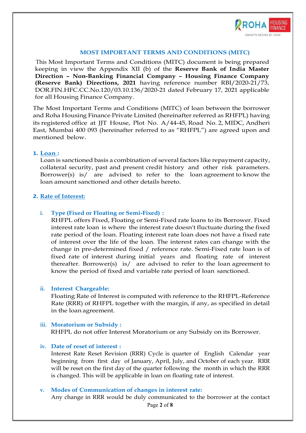

#### MOST IMPORTANT TERMS AND CONDITIONS (MITC)

 This Most Important Terms and Conditions (MITC) document is being prepared keeping in view the Appendix XII (b) of the Reserve Bank of India Master Direction – Non-Banking Financial Company – Housing Finance Company (Reserve Bank) Directions, 2021 having reference number RBI/2020-21/73, DOR.FIN.HFC.CC.No.120/03.10.136/2020-21 dated February 17, 2021 applicable for all Housing Finance Company.

The Most Important Terms and Conditions (MITC) of loan between the borrower and Roha Housing Finance Private Limited (hereinafter referred as RHFPL) having its registered office at JJT House, Plot No. A/44-45, Road No. 2, MIDC, Andheri East, Mumbai 400 093 (hereinafter referred to as "RHFPL") are agreed upon and mentioned below.

#### 1. Loan :

Loan is sanctioned basis a combination of several factors like repayment capacity, collateral security, past and present credit history and other risk parameters. Borrower(s) is/ are advised to refer to the loan agreement to know the loan amount sanctioned and other details hereto.

#### 2. Rate of Interest:

#### i. Type (Fixed or Floating or Semi-Fixed) :

RHFPL offers Fixed, Floating or Semi-Fixed rate loans to its Borrower. Fixed interest rate loan is where the interest rate doesn't fluctuate during the fixed rate period of the loan. Floating interest rate loan does not have a fixed rate of interest over the life of the loan. The interest rates can change with the change in pre-determined fixed / reference rate. Semi-Fixed rate loan is of fixed rate of interest during initial years and floating rate of interest thereafter. Borrower(s) is/ are advised to refer to the loan agreement to know the period of fixed and variable rate period of loan sanctioned.

#### ii. Interest Chargeable:

Floating Rate of Interest is computed with reference to the RHFPL-Reference Rate (RRR) of RHFPL together with the margin, if any, as specified in detail in the loan agreement.

#### iii. Moratorium or Subsidy : RHFPL do not offer Interest Moratorium or any Subsidy on its Borrower.

#### iv. Date of reset of interest :

Interest Rate Reset Revision (RRR) Cycle is quarter of English Calendar year beginning from first day of January, April, July, and October of each year. RRR will be reset on the first day of the quarter following the month in which the RRR is changed. This will be applicable in loan on floating rate of interest.

#### v. Modes of Communication of changes in interest rate:

Any change in RRR would be duly communicated to the borrower at the contact

Page 2 of 8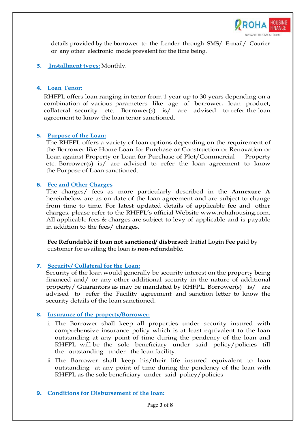

details provided by the borrower to the Lender through SMS/ E-mail/ Courier or any other electronic mode prevalent for the time being.

3. Installment types: Monthly.

#### 4. Loan Tenor:

RHFPL offers loan ranging in tenor from 1 year up to 30 years depending on a combination of various parameters like age of borrower, loan product, collateral security etc. Borrower(s) is/ are advised to refer the loan agreement to know the loan tenor sanctioned.

# 5. Purpose of the Loan:

The RHFPL offers a variety of loan options depending on the requirement of the Borrower like Home Loan for Purchase or Construction or Renovation or Loan against Property or Loan for Purchase of Plot/Commercial Property etc. Borrower(s) is/ are advised to refer the loan agreement to know the Purpose of Loan sanctioned.

# 6. Fee and Other Charges

The charges/ fees as more particularly described in the Annexure A hereinbelow are as on date of the loan agreement and are subject to change from time to time. For latest updated details of applicable fee and other charges, please refer to the RHFPL's official Website www.rohahousing.com. All applicable fees & charges are subject to levy of applicable and is payable in addition to the fees/ charges.

Fee Refundable if loan not sanctioned/ disbursed: Initial Login Fee paid by customer for availing the loan is non-refundable.

#### 7. Security/ Collateral for the Loan:

Security of the loan would generally be security interest on the property being financed and/ or any other additional security in the nature of additional property/ Guarantors as may be mandated by RHFPL. Borrower(s) is/ are advised to refer the Facility agreement and sanction letter to know the security details of the loan sanctioned.

#### 8. Insurance of the property/Borrower:

- i. The Borrower shall keep all properties under security insured with comprehensive insurance policy which is at least equivalent to the loan outstanding at any point of time during the pendency of the loan and RHFPL will be the sole beneficiary under said policy/policies till the outstanding under the loan facility.
- ii. The Borrower shall keep his/their life insured equivalent to loan outstanding at any point of time during the pendency of the loan with RHFPL as the sole beneficiary under said policy/policies

#### 9. Conditions for Disbursement of the loan: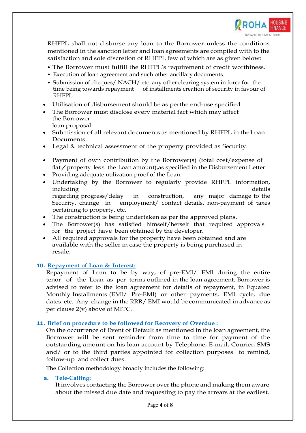

RHFPL shall not disburse any loan to the Borrower unless the conditions mentioned in the sanction letter and loan agreements are compiled with to the satisfaction and sole discretion of RHFPL few of which are as given below:

- The Borrower must fulfill the RHFPL's requirement of credit worthiness.
- Execution of loan agreement and such other ancillary documents.
- Submission of cheques/ NACH/ etc. any other clearing system in force for the time being towards repayment of installments creation of security in favour of RHFPL.
- Utilisation of disbursement should be as perthe end-use specified
- The Borrower must disclose every material fact which may affect the Borrower loan proposal.
- Submission of all relevant documents as mentioned by RHFPL in the Loan Documents.
- Legal & technical assessment of the property provided as Security.
- Payment of own contribution by the Borrower(s) (total cost/expense of flat/property less the Loan amount),as specified in the Disbursement Letter.
- Providing adequate utilization proof of the Loan.
- Undertaking by the Borrower to regularly provide RHFPL information,  $\blacksquare$ including details  $\blacksquare$ regarding progress/delay in construction, any major damage to the Security, change in employment/ contact details, non-payment of taxes pertaining to property, etc.
- The construction is being undertaken as per the approved plans.
- The Borrower(s) has satisfied himself/herself that required approvals for the project have been obtained by the developer.
- All required approvals for the property have been obtained and are available with the seller in case the property is being purchased in resale.

#### 10. Repayment of Loan & Interest:

Repayment of Loan to be by way, of pre-EMI/ EMI during the entire tenor of the Loan as per terms outlined in the loan agreement. Borrower is advised to refer to the loan agreement for details of repayment, in Equated Monthly Installments (EMI/ Pre-EMl) or other payments, EMI cycle, due dates etc. Any change in the RRR/ EMI would be communicated in advance as per clause 2(v) above of MITC.

#### 11. Brief on procedure to be followed for Recovery of Overdue :

On the occurrence of Event of Default as mentioned in the loan agreement, the Borrower will be sent reminder from time to time for payment of the outstanding amount on his loan account by Telephone, E-mail, Courier, SMS and/ or to the third parties appointed for collection purposes to remind, follow-up and collect dues.

The Collection methodology broadly includes the following:

#### a. Tele-Calling:

It involves contacting the Borrower over the phone and making them aware about the missed due date and requesting to pay the arrears at the earliest.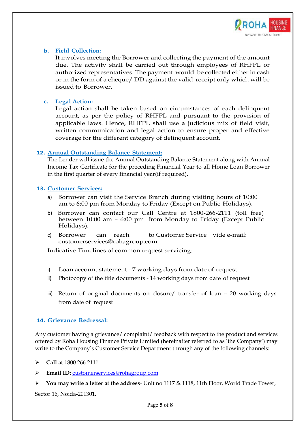

#### b. Field Collection:

It involves meeting the Borrower and collecting the payment of the amount due. The activity shall be carried out through employees of RHFPL or authorized representatives. The payment would be collected either in cash or in the form of a cheque/ DD against the valid receipt only which will be issued to Borrower.

# c. Legal Action:

Legal action shall be taken based on circumstances of each delinquent account, as per the policy of RHFPL and pursuant to the provision of applicable laws. Hence, RHFPL shall use a judicious mix of field visit, written communication and legal action to ensure proper and effective coverage for the different category of delinquent account.

# 12. Annual Outstanding Balance Statement:

The Lender will issue the Annual Outstanding Balance Statement along with Annual Income Tax Certificate for the preceding Financial Year to all Home Loan Borrower in the first quarter of every financial year(if required).

# 13. Customer Services:

- a) Borrower can visit the Service Branch during visiting hours of 10:00 am to 6:00 pm from Monday to Friday (Except on Public Holidays).
- b) Borrower can contact our Call Centre at 1800-266-2111 (toll free) between 10:00 am – 6:00 pm from Monday to Friday (Except Public Holidays).
- c) Borrower can reach to Customer Service vide e-mail: customerservices@rohagroup.com

Indicative Timelines of common request servicing:

- i) Loan account statement 7 working days from date of request
- ii) Photocopy of the title documents 14 working days from date of request
- iii) Return of original documents on closure/ transfer of loan 20 working days from date of request

# 14. Grievance Redressal:

Any customer having a grievance/ complaint/ feedback with respect to the product and services offered by Roha Housing Finance Private Limited (hereinafter referred to as 'the Company') may write to the Company's Customer Service Department through any of the following channels:

Call at 1800 266 2111

Email ID: customerservices@rohagroup.com

You may write a letter at the address- Unit no 1117 & 1118, 11th Floor, World Trade Tower, Sector 16, Noida-201301.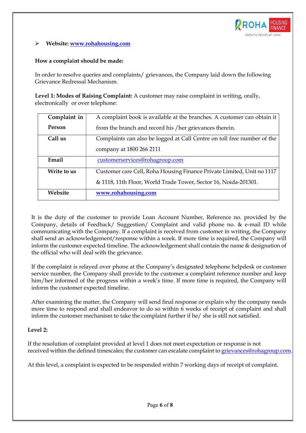

#### Website: www.rohahousing.com

#### How a complaint should be made:

In order to resolve queries and complaints/ grievances, the Company laid down the following Grievance Redressal Mechanism.

Level 1: Modes of Raising Complaint: A customer may raise complaint in writing, orally, electronically or over telephone:

| Complaint in | A complaint book is available at the branches. A customer can obtain it |  |  |
|--------------|-------------------------------------------------------------------------|--|--|
| Person       | from the branch and record his / her grievances therein.                |  |  |
| Call us      | Complaints can also be logged at Call Centre on toll free number of the |  |  |
|              | company at 1800 266 2111                                                |  |  |
| Email        | customerservices@rohagroup.com                                          |  |  |
| Write to us  | Customer care Cell, Roha Housing Finance Private Limited, Unit no 1117  |  |  |
|              | & 1118, 11th Floor, World Trade Tower, Sector 16, Noida-201301.         |  |  |
| Website      | www.rohahousing.com                                                     |  |  |

It is the duty of the customer to provide Loan Account Number, Reference no. provided by the Company, details of Feedback/ Suggestion/ Complaint and valid phone no. & e-mail ID while communicating with the Company. If a complaint is received from customer in writing, the Company shall send an acknowledgement/response within a week. If more time is required, the Company will inform the customer expected timeline. The acknowledgement shall contain the name & designation of the official who will deal with the grievance.

If the complaint is relayed over phone at the Company's designated telephone helpdesk or customer service number, the Company shall provide to the customer a complaint reference number and keep him/her informed of the progress within a week's time. If more time is required, the Company will inform the customer expected timeline.

After examining the matter, the Company will send final response or explain why the company needs more time to respond and shall endeavor to do so within 6 weeks of receipt of complaint and shall inform the customer mechanism to take the complaint further if he/ she is still not satisfied.

#### Level 2:

If the resolution of complaint provided at level 1 does not meet expectation or response is not received within the defined timescales; the customer can escalate complaint to grievances@rohagroup.com

At this level, a complaint is expected to be responded within 7 working days of receipt of complaint.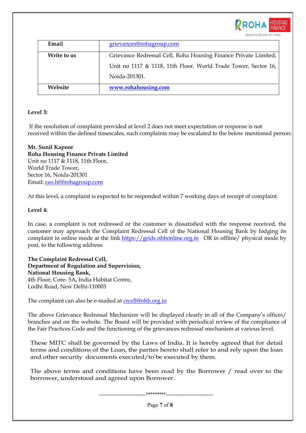

| Email       | grievances@rohagroup.com                                        |
|-------------|-----------------------------------------------------------------|
| Write to us | Grievance Redressal Cell, Roha Housing Finance Private Limited, |
|             | Unit no 1117 & 1118, 11th Floor, World Trade Tower, Sector 16,  |
|             | Noida-201301.                                                   |
| Website     | www.rohahousing.com                                             |

# Level 3:

 If the resolution of complaint provided at level 2 does not meet expectation or response is not received within the defined timescales, such complaints may be escalated to the below mentioned person:

Mr. Sunil Kapoor Roha Housing Finance Private Limited Unit no 1117 & 1118, 11th Floor, World Trade Tower, Sector 16, Noida-201301 Email: ceo.hf@rohagroup.com

At this level, a complaint is expected to be responded within 7 working days of receipt of complaint.

# Level 4:

In case, a complaint is not redressed or the customer is dissatisfied with the response received, the customer may approach the Complaint Redressal Cell of the National Housing Bank by lodging its complaint in online mode at the link https://grids.nhbonline.org.in OR in offline/ physical mode by post, to the following address:

The Complaint Redressal Cell, Department of Regulation and Supervision, National Housing Bank, 4th Floor, Core- 5A, India Habitat Centre, Lodhi Road, New Delhi-110003

The complaint can also be e-mailed at crcell@nhb.org.in

The above Grievance Redressal Mechanism will be displayed clearly in all of the Company's offices/ branches and on the website. The Board will be provided with periodical review of the compliance of the Fair Practices Code and the functioning of the grievances redressal mechanism at various level.

These MITC shall be governed by the Laws of India. It is hereby agreed that for detail terms and conditions of the Loan, the parties hereto shall refer to and rely upon the loan and other security documents executed/to be executed by them.

The above terms and conditions have been read by the Borrower / read over to the borrower, understood and agreed upon Borrower.